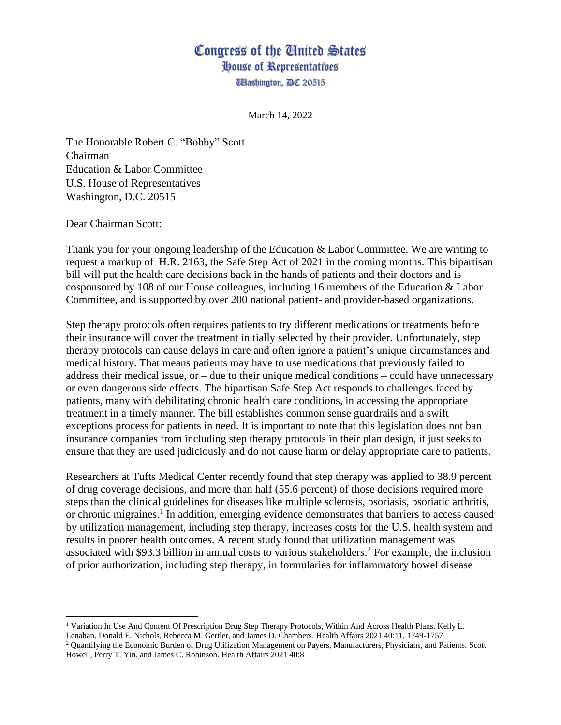## Congress of the United States House of Representatives

**Washington, DC 20515** 

March 14, 2022

The Honorable Robert C. "Bobby" Scott Chairman Education & Labor Committee U.S. House of Representatives Washington, D.C. 20515

Dear Chairman Scott:

Thank you for your ongoing leadership of the Education & Labor Committee. We are writing to request a markup of H.R. 2163, the Safe Step Act of 2021 in the coming months. This bipartisan bill will put the health care decisions back in the hands of patients and their doctors and is cosponsored by 108 of our House colleagues, including 16 members of the Education & Labor Committee, and is supported by over 200 national patient- and provider-based organizations.

Step therapy protocols often requires patients to try different medications or treatments before their insurance will cover the treatment initially selected by their provider. Unfortunately, step therapy protocols can cause delays in care and often ignore a patient's unique circumstances and medical history. That means patients may have to use medications that previously failed to address their medical issue, or  $-$  due to their unique medical conditions  $-$  could have unnecessary or even dangerous side effects. The bipartisan Safe Step Act responds to challenges faced by patients, many with debilitating chronic health care conditions, in accessing the appropriate treatment in a timely manner. The bill establishes common sense guardrails and a swift exceptions process for patients in need. It is important to note that this legislation does not ban insurance companies from including step therapy protocols in their plan design, it just seeks to ensure that they are used judiciously and do not cause harm or delay appropriate care to patients.

Researchers at Tufts Medical Center recently found that step therapy was applied to 38.9 percent of drug coverage decisions, and more than half (55.6 percent) of those decisions required more steps than the clinical guidelines for diseases like multiple sclerosis, psoriasis, psoriatic arthritis, or chronic migraines.<sup>1</sup> In addition, emerging evidence demonstrates that barriers to access caused by utilization management, including step therapy, increases costs for the U.S. health system and results in poorer health outcomes. A recent study found that utilization management was associated with \$93.3 billion in annual costs to various stakeholders. <sup>2</sup> For example, the inclusion of prior authorization, including step therapy, in formularies for inflammatory bowel disease

Lenahan, Donald E. Nichols, Rebecca M. Gertler, and James D. Chambers. Health Affairs 2021 40:11, 1749-1757

<sup>1</sup> Variation In Use And Content Of Prescription Drug Step Therapy Protocols, Within And Across Health Plans. Kelly L.

<sup>2</sup> Quantifying the Economic Burden of Drug Utilization Management on Payers, Manufacturers, Physicians, and Patients. Scott Howell, Perry T. Yin, and James C. Robinson. Health Affairs 2021 40:8